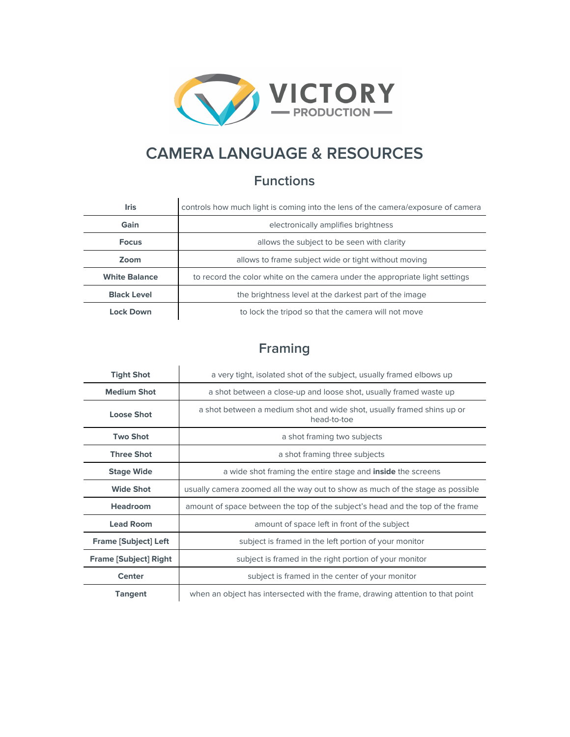

# **CAMERA LANGUAGE & RESOURCES**

## **Functions**

| <b>Iris</b>          | controls how much light is coming into the lens of the camera/exposure of camera |
|----------------------|----------------------------------------------------------------------------------|
| Gain                 | electronically amplifies brightness                                              |
| <b>Focus</b>         | allows the subject to be seen with clarity                                       |
| Zoom                 | allows to frame subject wide or tight without moving                             |
| <b>White Balance</b> | to record the color white on the camera under the appropriate light settings     |
| <b>Black Level</b>   | the brightness level at the darkest part of the image                            |
| Lock Down            | to lock the tripod so that the camera will not move                              |

## **Framing**

| <b>Tight Shot</b>            | a very tight, isolated shot of the subject, usually framed elbows up                  |
|------------------------------|---------------------------------------------------------------------------------------|
| <b>Medium Shot</b>           | a shot between a close-up and loose shot, usually framed waste up                     |
| <b>Loose Shot</b>            | a shot between a medium shot and wide shot, usually framed shins up or<br>head-to-toe |
| <b>Two Shot</b>              | a shot framing two subjects                                                           |
| <b>Three Shot</b>            | a shot framing three subjects                                                         |
| <b>Stage Wide</b>            | a wide shot framing the entire stage and <b>inside</b> the screens                    |
| <b>Wide Shot</b>             | usually camera zoomed all the way out to show as much of the stage as possible        |
| <b>Headroom</b>              | amount of space between the top of the subject's head and the top of the frame        |
| <b>Lead Room</b>             | amount of space left in front of the subject                                          |
| <b>Frame [Subject] Left</b>  | subject is framed in the left portion of your monitor                                 |
| <b>Frame [Subject] Right</b> | subject is framed in the right portion of your monitor                                |
| <b>Center</b>                | subject is framed in the center of your monitor                                       |
| <b>Tangent</b>               | when an object has intersected with the frame, drawing attention to that point        |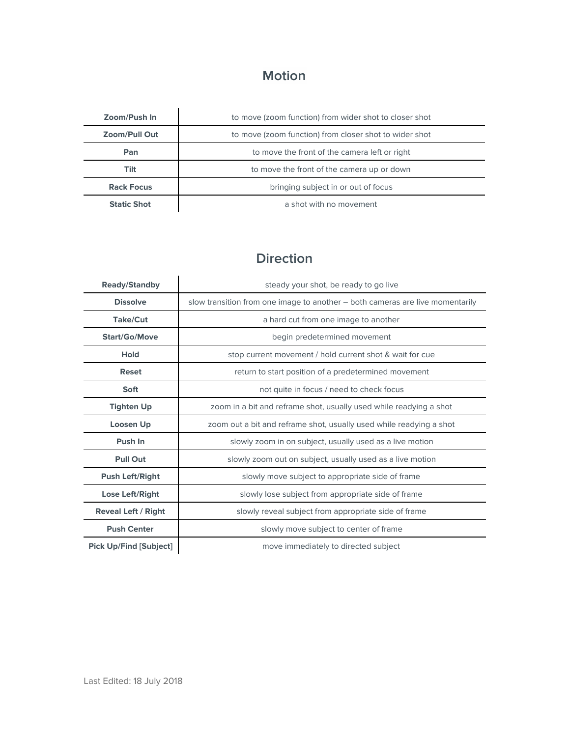# **Motion**

| Zoom/Push In         | to move (zoom function) from wider shot to closer shot |
|----------------------|--------------------------------------------------------|
| <b>Zoom/Pull Out</b> | to move (zoom function) from closer shot to wider shot |
| Pan                  | to move the front of the camera left or right          |
| Tilt                 | to move the front of the camera up or down             |
| <b>Rack Focus</b>    | bringing subject in or out of focus                    |
| <b>Static Shot</b>   | a shot with no movement                                |

### **Direction**

| <b>Ready/Standby</b>          | steady your shot, be ready to go live                                         |
|-------------------------------|-------------------------------------------------------------------------------|
| <b>Dissolve</b>               | slow transition from one image to another – both cameras are live momentarily |
| <b>Take/Cut</b>               | a hard cut from one image to another                                          |
| <b>Start/Go/Move</b>          | begin predetermined movement                                                  |
| <b>Hold</b>                   | stop current movement / hold current shot & wait for cue                      |
| <b>Reset</b>                  | return to start position of a predetermined movement                          |
| <b>Soft</b>                   | not quite in focus / need to check focus                                      |
| <b>Tighten Up</b>             | zoom in a bit and reframe shot, usually used while readying a shot            |
| Loosen Up                     | zoom out a bit and reframe shot, usually used while readying a shot           |
| Push In                       | slowly zoom in on subject, usually used as a live motion                      |
| <b>Pull Out</b>               | slowly zoom out on subject, usually used as a live motion                     |
| <b>Push Left/Right</b>        | slowly move subject to appropriate side of frame                              |
| <b>Lose Left/Right</b>        | slowly lose subject from appropriate side of frame                            |
| <b>Reveal Left / Right</b>    | slowly reveal subject from appropriate side of frame                          |
| <b>Push Center</b>            | slowly move subject to center of frame                                        |
| <b>Pick Up/Find [Subject]</b> | move immediately to directed subject                                          |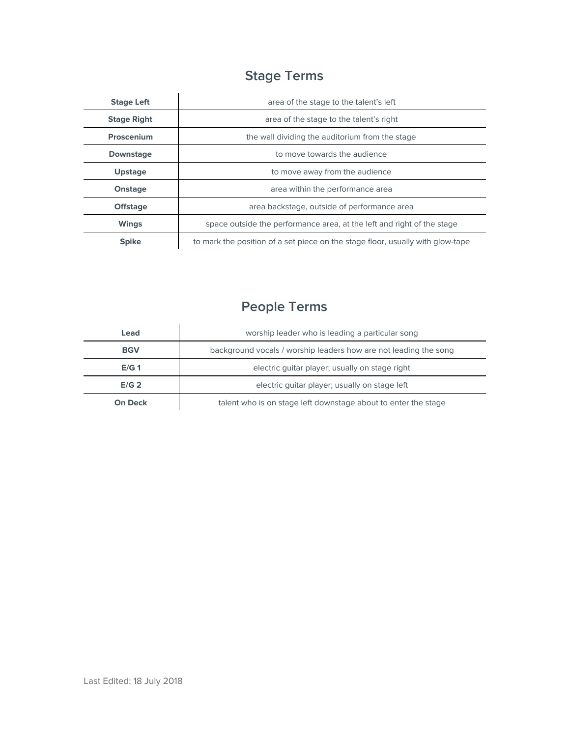# **Stage Terms**

| <b>Stage Left</b>  | area of the stage to the talent's left                                         |
|--------------------|--------------------------------------------------------------------------------|
| <b>Stage Right</b> | area of the stage to the talent's right                                        |
| Proscenium         | the wall dividing the auditorium from the stage                                |
| <b>Downstage</b>   | to move towards the audience                                                   |
| <b>Upstage</b>     | to move away from the audience                                                 |
| Onstage            | area within the performance area                                               |
| <b>Offstage</b>    | area backstage, outside of performance area                                    |
| <b>Wings</b>       | space outside the performance area, at the left and right of the stage         |
| <b>Spike</b>       | to mark the position of a set piece on the stage floor, usually with glow-tape |

# **People Terms**

| Lead             | worship leader who is leading a particular song                  |
|------------------|------------------------------------------------------------------|
| <b>BGV</b>       | background vocals / worship leaders how are not leading the song |
| E/G <sub>1</sub> | electric quitar player; usually on stage right                   |
| E/G <sub>2</sub> | electric quitar player; usually on stage left                    |
| <b>On Deck</b>   | talent who is on stage left downstage about to enter the stage   |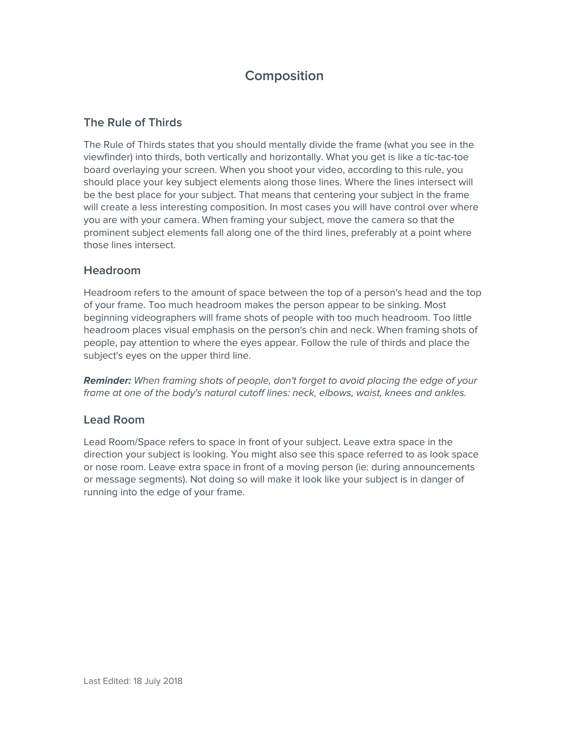### **Composition**

#### **The Rule of Thirds**

The Rule of Thirds states that you should mentally divide the frame (what you see in the viewfinder) into thirds, both vertically and horizontally. What you get is like a tic-tac-toe board overlaying your screen. When you shoot your video, according to this rule, you should place your key subject elements along those lines. Where the lines intersect will be the best place for your subject. That means that centering your subject in the frame will create a less interesting composition. In most cases you will have control over where you are with your camera. When framing your subject, move the camera so that the prominent subject elements fall along one of the third lines, preferably at a point where those lines intersect.

#### **Headroom**

Headroom refers to the amount of space between the top of a person's head and the top of your frame. Too much headroom makes the person appear to be sinking. Most beginning videographers will frame shots of people with too much headroom. Too little headroom places visual emphasis on the person's chin and neck. When framing shots of people, pay attention to where the eyes appear. Follow the rule of thirds and place the subject's eyes on the upper third line.

**Reminder:** When framing shots of people, don't forget to avoid placing the edge of your frame at one of the body's natural cutoff lines: neck, elbows, waist, knees and ankles.

#### **Lead Room**

Lead Room/Space refers to space in front of your subject. Leave extra space in the direction your subject is looking. You might also see this space referred to as look space or nose room. Leave extra space in front of a moving person (ie: during announcements or message segments). Not doing so will make it look like your subject is in danger of running into the edge of your frame.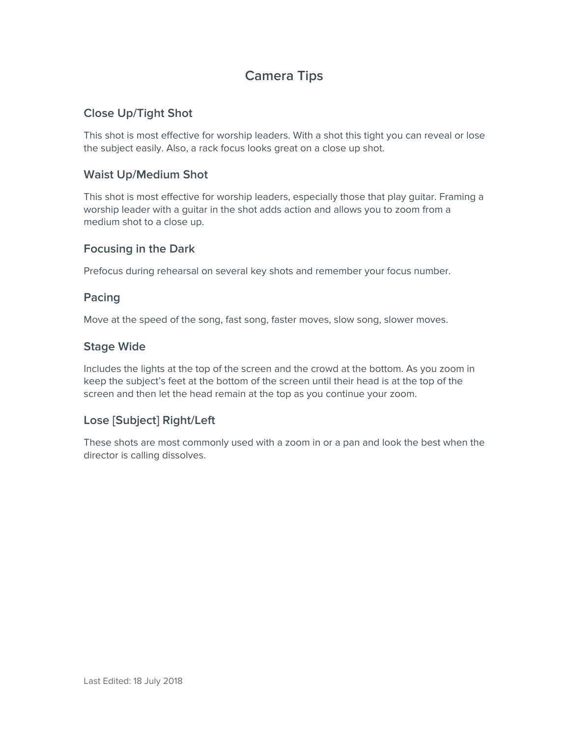## **Camera Tips**

#### **Close Up/Tight Shot**

This shot is most effective for worship leaders. With a shot this tight you can reveal or lose the subject easily. Also, a rack focus looks great on a close up shot.

#### **Waist Up/Medium Shot**

This shot is most effective for worship leaders, especially those that play guitar. Framing a worship leader with a guitar in the shot adds action and allows you to zoom from a medium shot to a close up.

#### **Focusing in the Dark**

Prefocus during rehearsal on several key shots and remember your focus number.

#### **Pacing**

Move at the speed of the song, fast song, faster moves, slow song, slower moves.

#### **Stage Wide**

Includes the lights at the top of the screen and the crowd at the bottom. As you zoom in keep the subject's feet at the bottom of the screen until their head is at the top of the screen and then let the head remain at the top as you continue your zoom.

#### **Lose [Subject] Right/Left**

These shots are most commonly used with a zoom in or a pan and look the best when the director is calling dissolves.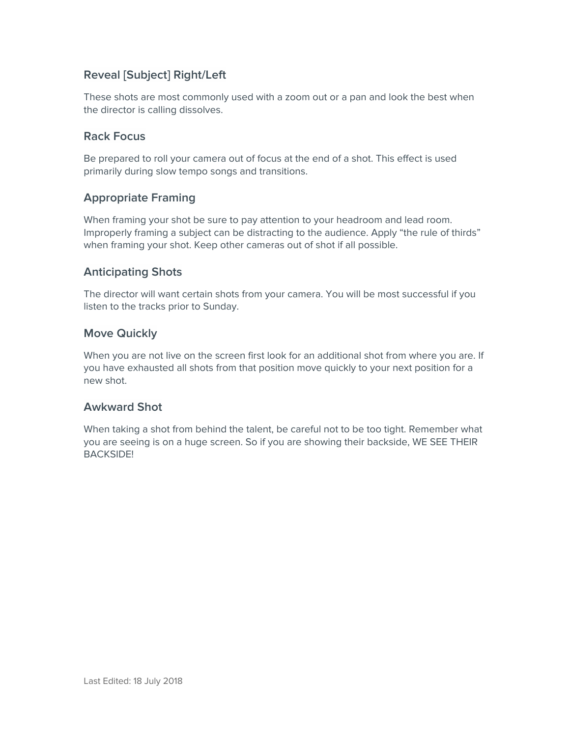#### **Reveal [Subject] Right/Left**

These shots are most commonly used with a zoom out or a pan and look the best when the director is calling dissolves.

#### **Rack Focus**

Be prepared to roll your camera out of focus at the end of a shot. This effect is used primarily during slow tempo songs and transitions.

#### **Appropriate Framing**

When framing your shot be sure to pay attention to your headroom and lead room. Improperly framing a subject can be distracting to the audience. Apply "the rule of thirds" when framing your shot. Keep other cameras out of shot if all possible.

#### **Anticipating Shots**

The director will want certain shots from your camera. You will be most successful if you listen to the tracks prior to Sunday.

#### **Move Quickly**

When you are not live on the screen first look for an additional shot from where you are. If you have exhausted all shots from that position move quickly to your next position for a new shot.

#### **Awkward Shot**

When taking a shot from behind the talent, be careful not to be too tight. Remember what you are seeing is on a huge screen. So if you are showing their backside, WE SEE THEIR BACKSIDE!